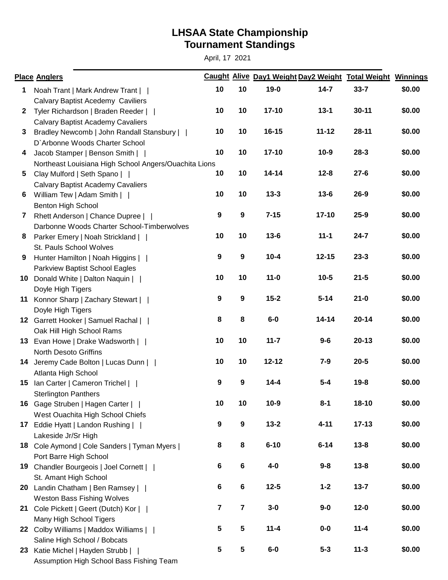## **Tournament Standings LHSAA State Championship**

April, 17 2021

|              | <b>Place Anglers</b>                                  |                         |                  |           |           | Caught Alive Day1 Weight Day2 Weight Total Weight Winnings |        |
|--------------|-------------------------------------------------------|-------------------------|------------------|-----------|-----------|------------------------------------------------------------|--------|
| $\mathbf 1$  | Noah Trant   Mark Andrew Trant                        | 10                      | 10               | $19-0$    | $14 - 7$  | $33 - 7$                                                   | \$0.00 |
|              | Calvary Baptist Acedemy Caviliers                     |                         |                  |           |           |                                                            |        |
| $\mathbf{2}$ | Tyler Richardson   Braden Reeder                      | 10                      | 10               | $17 - 10$ | $13 - 1$  | $30 - 11$                                                  | \$0.00 |
|              | <b>Calvary Baptist Academy Cavaliers</b>              |                         |                  |           |           |                                                            |        |
| $\mathbf{3}$ | Bradley Newcomb   John Randall Stansbury              | 10                      | 10               | $16 - 15$ | $11 - 12$ | $28 - 11$                                                  | \$0.00 |
|              | D'Arbonne Woods Charter School                        |                         |                  |           |           |                                                            |        |
| 4            | Jacob Stamper   Benson Smith                          | 10                      | 10               | $17 - 10$ | $10-9$    | $28 - 3$                                                   | \$0.00 |
|              | Northeast Louisiana High School Angers/Ouachita Lions |                         |                  |           |           |                                                            |        |
| 5            | Clay Mulford   Seth Spano                             | 10                      | 10               | $14 - 14$ | $12 - 8$  | $27 - 6$                                                   | \$0.00 |
|              | <b>Calvary Baptist Academy Cavaliers</b>              |                         |                  |           |           |                                                            |        |
| 6            | William Tew   Adam Smith                              | 10                      | 10               | $13 - 3$  | $13 - 6$  | $26 - 9$                                                   | \$0.00 |
|              | Benton High School                                    |                         |                  |           |           |                                                            |        |
| 7            | Rhett Anderson   Chance Dupree                        | $\boldsymbol{9}$        | $\boldsymbol{9}$ | $7 - 15$  | $17 - 10$ | $25 - 9$                                                   | \$0.00 |
|              | Darbonne Woods Charter School-Timberwolves            |                         |                  |           |           |                                                            |        |
| 8            | Parker Emery   Noah Strickland                        | 10                      | 10               | $13 - 6$  | $11 - 1$  | $24 - 7$                                                   | \$0.00 |
|              | St. Pauls School Wolves                               |                         |                  |           |           |                                                            |        |
| 9            | Hunter Hamilton   Noah Higgins                        | $\boldsymbol{9}$        | $\boldsymbol{9}$ | $10 - 4$  | $12 - 15$ | $23 - 3$                                                   | \$0.00 |
|              | Parkview Baptist School Eagles                        |                         |                  |           |           |                                                            |        |
|              | 10 Donald White   Dalton Naquin                       | 10                      | 10               | $11 - 0$  | $10 - 5$  | $21 - 5$                                                   | \$0.00 |
|              | Doyle High Tigers                                     |                         |                  |           |           |                                                            |        |
|              | 11 Konnor Sharp   Zachary Stewart                     | $\boldsymbol{9}$        | $\boldsymbol{9}$ | $15 - 2$  | $5 - 14$  | $21 - 0$                                                   | \$0.00 |
|              | Doyle High Tigers                                     |                         |                  |           |           |                                                            |        |
|              | 12 Garrett Hooker   Samuel Rachal                     | 8                       | 8                | $6-0$     | $14 - 14$ | $20 - 14$                                                  | \$0.00 |
|              | Oak Hill High School Rams                             |                         |                  |           |           |                                                            |        |
|              | 13 Evan Howe   Drake Wadsworth                        | 10                      | 10               | $11 - 7$  | $9-6$     | $20 - 13$                                                  | \$0.00 |
|              | <b>North Desoto Griffins</b>                          |                         |                  |           |           |                                                            |        |
|              | 14 Jeremy Cade Bolton   Lucas Dunn                    | 10                      | 10               | $12 - 12$ | $7-9$     | $20 - 5$                                                   | \$0.00 |
|              | Atlanta High School                                   |                         |                  |           |           |                                                            |        |
|              | 15 Ian Carter   Cameron Trichel                       | 9                       | $\boldsymbol{9}$ | $14 - 4$  | $5 - 4$   | $19 - 8$                                                   | \$0.00 |
|              | <b>Sterlington Panthers</b>                           |                         |                  |           |           |                                                            |        |
|              | 16 Gage Struben   Hagen Carter                        | 10                      | 10               | $10 - 9$  | $8 - 1$   | 18-10                                                      | \$0.00 |
|              | West Ouachita High School Chiefs                      |                         |                  |           |           |                                                            |        |
|              | 17 Eddie Hyatt   Landon Rushing                       | $\boldsymbol{9}$        | $\boldsymbol{9}$ | $13 - 2$  | $4 - 11$  | $17 - 13$                                                  | \$0.00 |
|              | Lakeside Jr/Sr High                                   |                         |                  |           |           |                                                            |        |
|              | 18 Cole Aymond   Cole Sanders   Tyman Myers           | 8                       | 8                | $6 - 10$  | $6 - 14$  | $13 - 8$                                                   | \$0.00 |
|              | Port Barre High School                                |                         |                  |           |           |                                                            |        |
|              | 19 Chandler Bourgeois   Joel Cornett                  | 6                       | $\bf 6$          | $4-0$     | $9 - 8$   | $13 - 8$                                                   | \$0.00 |
|              | St. Amant High School                                 |                         |                  |           |           |                                                            |        |
|              |                                                       | 6                       | $\bf 6$          | $12 - 5$  | $1 - 2$   | $13 - 7$                                                   | \$0.00 |
|              | 20 Landin Chatham   Ben Ramsey                        |                         |                  |           |           |                                                            |        |
|              | <b>Weston Bass Fishing Wolves</b>                     | $\overline{\mathbf{r}}$ | 7                | $3-0$     | $9-0$     | $12 - 0$                                                   | \$0.00 |
|              | 21 Cole Pickett   Geert (Dutch) Kor                   |                         |                  |           |           |                                                            |        |
|              | Many High School Tigers                               | 5                       | 5                | $11 - 4$  | $0-0$     | $11 - 4$                                                   | \$0.00 |
|              | 22 Colby Williams   Maddox Williams                   |                         |                  |           |           |                                                            |        |
|              | Saline High School / Bobcats                          |                         |                  |           |           |                                                            | \$0.00 |
|              | 23 Katie Michel   Hayden Strubb                       | 5                       | 5                | $6-0$     | $5 - 3$   | $11 - 3$                                                   |        |
|              | Assumption High School Bass Fishing Team              |                         |                  |           |           |                                                            |        |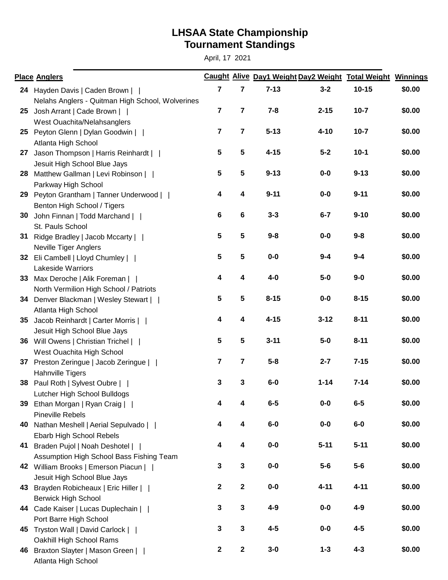## **Tournament Standings LHSAA State Championship**

April, 17 2021

|    | <b>Place Anglers</b>                             |                |                | Caught Alive Day1 Weight Day2 Weight Total Weight Winnings |          |           |        |
|----|--------------------------------------------------|----------------|----------------|------------------------------------------------------------|----------|-----------|--------|
|    | 24 Hayden Davis   Caden Brown                    | 7              | 7              | $7 - 13$                                                   | $3 - 2$  | $10 - 15$ | \$0.00 |
|    | Nelahs Anglers - Quitman High School, Wolverines |                |                |                                                            |          |           |        |
| 25 | Josh Arrant   Cade Brown                         | $\overline{7}$ | 7              | $7 - 8$                                                    | $2 - 15$ | $10 - 7$  | \$0.00 |
|    | West Ouachita/Nelahsanglers                      |                |                |                                                            |          |           |        |
|    | 25 Peyton Glenn   Dylan Goodwin                  | $\overline{7}$ | $\overline{7}$ | $5 - 13$                                                   | $4 - 10$ | $10 - 7$  | \$0.00 |
|    | Atlanta High School                              |                |                |                                                            |          |           |        |
|    | 27 Jason Thompson   Harris Reinhardt             | 5              | 5              | $4 - 15$                                                   | $5 - 2$  | $10-1$    | \$0.00 |
|    | Jesuit High School Blue Jays                     |                |                |                                                            |          |           |        |
|    | 28 Matthew Gallman   Levi Robinson               | 5              | 5              | $9 - 13$                                                   | $0-0$    | $9 - 13$  | \$0.00 |
|    | Parkway High School                              |                |                |                                                            |          |           |        |
|    | 29 Peyton Grantham   Tanner Underwood            | 4              | 4              | $9 - 11$                                                   | $0-0$    | $9 - 11$  | \$0.00 |
|    | Benton High School / Tigers                      |                |                |                                                            |          |           |        |
| 30 | John Finnan   Todd Marchand                      | 6              | $\bf 6$        | $3 - 3$                                                    | $6 - 7$  | $9 - 10$  | \$0.00 |
|    | St. Pauls School                                 |                |                |                                                            |          |           |        |
|    | 31 Ridge Bradley   Jacob Mccarty                 | 5              | 5              | $9 - 8$                                                    | $0-0$    | $9 - 8$   | \$0.00 |
|    | <b>Neville Tiger Anglers</b>                     |                |                |                                                            |          |           |        |
|    | 32 Eli Cambell   Lloyd Chumley                   | 5              | 5              | $0-0$                                                      | $9 - 4$  | $9 - 4$   | \$0.00 |
|    | <b>Lakeside Warriors</b>                         |                |                |                                                            |          |           |        |
|    | 33 Max Deroche   Alik Foreman                    | 4              | 4              | $4-0$                                                      | $5-0$    | $9-0$     | \$0.00 |
|    | North Vermilion High School / Patriots           |                |                |                                                            |          |           |        |
|    | 34 Denver Blackman   Wesley Stewart              | 5              | 5              | $8 - 15$                                                   | $0-0$    | $8 - 15$  | \$0.00 |
|    | Atlanta High School                              |                |                |                                                            |          |           |        |
| 35 | Jacob Reinhardt   Carter Morris                  | 4              | 4              | $4 - 15$                                                   | $3 - 12$ | $8 - 11$  | \$0.00 |
|    | Jesuit High School Blue Jays                     |                |                |                                                            |          |           |        |
|    | 36 Will Owens   Christian Trichel                | 5              | 5              | $3 - 11$                                                   | $5-0$    | $8 - 11$  | \$0.00 |
|    | West Ouachita High School                        |                |                |                                                            |          |           |        |
|    | 37 Preston Zeringue   Jacob Zeringue             | 7              | 7              | $5 - 8$                                                    | $2 - 7$  | $7 - 15$  | \$0.00 |
|    | <b>Hahnville Tigers</b>                          |                |                |                                                            |          |           |        |
|    | 38 Paul Roth   Sylvest Oubre                     | 3              | 3              | $6-0$                                                      | $1 - 14$ | $7 - 14$  | \$0.00 |
|    | Lutcher High School Bulldogs                     |                |                |                                                            |          |           |        |
| 39 | Ethan Morgan   Ryan Craig                        | 4              | 4              | $6-5$                                                      | $0-0$    | $6-5$     | \$0.00 |
|    | <b>Pineville Rebels</b>                          |                |                |                                                            |          |           |        |
| 40 | Nathan Meshell   Aerial Sepulvado                | 4              | 4              | $6-0$                                                      | $0-0$    | $6-0$     | \$0.00 |
|    | Ebarb High School Rebels                         |                |                |                                                            |          |           |        |
|    | 41 Braden Pujol   Noah Deshotel                  | 4              | 4              | $0-0$                                                      | $5 - 11$ | $5 - 11$  | \$0.00 |
|    | Assumption High School Bass Fishing Team         |                |                |                                                            |          |           |        |
|    | 42 William Brooks   Emerson Piacun               | 3              | $\mathbf 3$    | $0-0$                                                      | $5-6$    | $5-6$     | \$0.00 |
|    | Jesuit High School Blue Jays                     |                |                |                                                            |          |           |        |
|    | 43 Brayden Robicheaux   Eric Hiller              | $\mathbf 2$    | $\mathbf 2$    | $0-0$                                                      | $4 - 11$ | $4 - 11$  | \$0.00 |
|    | <b>Berwick High School</b>                       |                |                |                                                            |          |           |        |
|    | 44 Cade Kaiser   Lucas Duplechain                | 3              | 3              | $4-9$                                                      | $0-0$    | $4-9$     | \$0.00 |
|    | Port Barre High School                           |                |                |                                                            |          |           |        |
|    | 45 Tryston Wall   David Carlock                  | 3              | 3              | $4-5$                                                      | $0-0$    | $4 - 5$   | \$0.00 |
|    | Oakhill High School Rams                         |                |                |                                                            |          |           |        |
|    | 46 Braxton Slayter   Mason Green                 | $\mathbf{2}$   | $\mathbf 2$    | $3-0$                                                      | $1 - 3$  | $4 - 3$   | \$0.00 |
|    | Atlanta High School                              |                |                |                                                            |          |           |        |